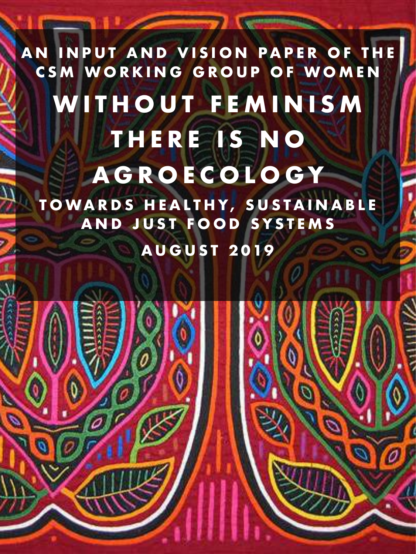**AN INPUT AND VISION PAPER OF THE CSM WORKING GROUP OF WOMEN**  WITHOUT FEMINISM **THERE IS NO AGROECOLOGY TOWARDS HEALTHY, SUSTAINABLE AND JUST FOOD SYSTEMS AUGUST 2019**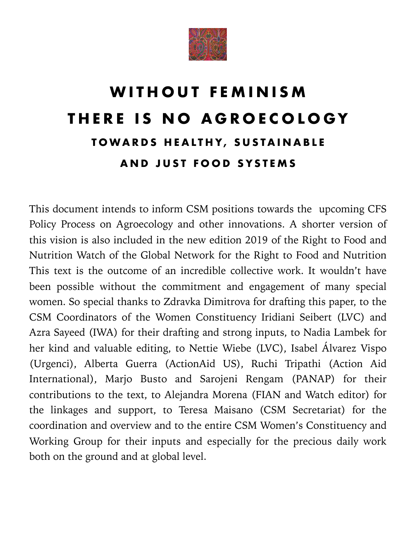

## **WITHOUT FEMINISM THERE IS NO AGROECOLOGY TOWARDS HEALTHY, SUSTAINABLE AND JUST FOOD SYSTEMS**

This document intends to inform CSM positions towards the upcoming CFS Policy Process on Agroecology and other innovations. A shorter version of this vision is also included in the new edition 2019 of the Right to Food and Nutrition Watch of the Global Network for the Right to Food and Nutrition This text is the outcome of an incredible collective work. It wouldn't have been possible without the commitment and engagement of many special women. So special thanks to Zdravka Dimitrova for drafting this paper, to the CSM Coordinators of the Women Constituency Iridiani Seibert (LVC) and Azra Sayeed (IWA) for their drafting and strong inputs, to Nadia Lambek for her kind and valuable editing, to Nettie Wiebe (LVC), Isabel Álvarez Vispo (Urgenci), Alberta Guerra (ActionAid US), Ruchi Tripathi (Action Aid International), Marjo Busto and Sarojeni Rengam (PANAP) for their contributions to the text, to Alejandra Morena (FIAN and Watch editor) for the linkages and support, to Teresa Maisano (CSM Secretariat) for the coordination and overview and to the entire CSM Women's Constituency and Working Group for their inputs and especially for the precious daily work both on the ground and at global level.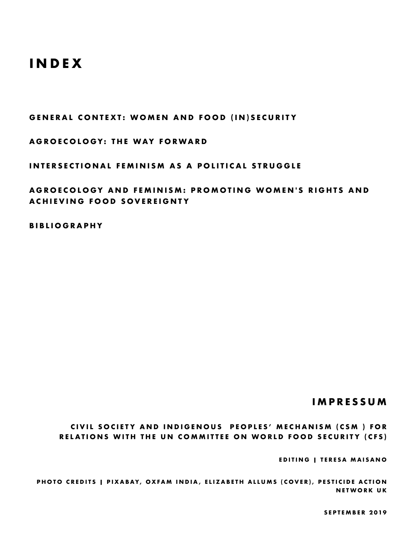### **INDEX**

**GENERAL CONTEXT: WOMEN AND FOOD (IN)SECURITY** 

**AGROECOLOGY: THE WAY FORWARD** 

**INTERSECTIONAL FEMINISM AS A POLITICAL STRUGGLE** 

**AGROECOLOGY AND FEMINISM: PROMOTING WOMEN'S RIGHTS AND ACHIEVING FOOD SOVEREIGNTY** 

**BIBLIOGRAPHY** 

#### **IMPRESSUM**

**CIVIL SOCIETY AND INDIGENOUS PEOPLES' MECHANISM (CSM ) FOR RELATIONS WITH THE UN COMMITTEE ON WORLD FOOD SECURITY (CFS)** 

**EDITING | TERESA MAISANO** 

PHOTO CREDITS | PIXABAY, OXFAM INDIA, ELIZABETH ALLUMS (COVER), PESTICIDE ACTION **NETWORK UK** 

**SEPTEMBER 2019**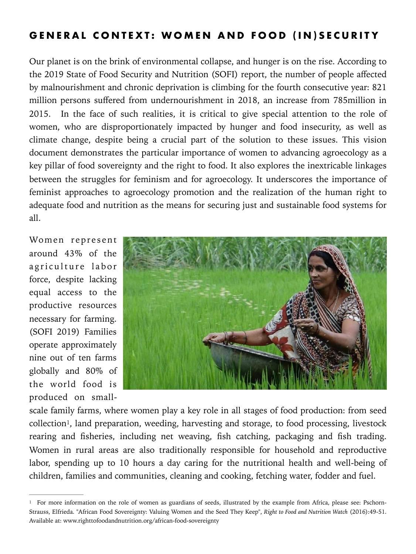#### **GENERAL CONTEXT: WOMEN AND FOOD (IN)SECURITY**

Our planet is on the brink of environmental collapse, and hunger is on the rise. According to the 2019 State of Food Security and Nutrition (SOFI) report, the number of people affected by malnourishment and chronic deprivation is climbing for the fourth consecutive year: 821 million persons suffered from undernourishment in 2018, an increase from 785million in 2015. In the face of such realities, it is critical to give special attention to the role of women, who are disproportionately impacted by hunger and food insecurity, as well as climate change, despite being a crucial part of the solution to these issues. This vision document demonstrates the particular importance of women to advancing agroecology as a key pillar of food sovereignty and the right to food. It also explores the inextricable linkages between the struggles for feminism and for agroecology. It underscores the importance of feminist approaches to agroecology promotion and the realization of the human right to adequate food and nutrition as the means for securing just and sustainable food systems for all.

Women represent around 43% of the a griculture labor force, despite lacking equal access to the productive resources necessary for farming. (SOFI 2019) Families operate approximately nine out of ten farms globally and 80% of the world food is produced on small-



<span id="page-3-1"></span>scale family farms, where women play a key role in all stages of food production: from seed collection<sup>1</sup>[,](#page-3-0) land preparation, weeding, harvesting and storage, to food processing, livestock rearing and fisheries, including net weaving, fish catching, packaging and fish trading. Women in rural areas are also traditionally responsible for household and reproductive labor, spending up to 10 hours a day caring for the nutritional health and well-being of children, families and communities, cleaning and cooking, fetching water, fodder and fuel.

<span id="page-3-0"></span><sup>&</sup>lt;sup>[1](#page-3-1)</sup> For more information on the role of women as guardians of seeds, illustrated by the example from Africa, please see: Pschorn-Strauss, Elfrieda. "African Food Sovereignty: Valuing Women and the Seed They Keep", *Right to Food and Nutrition Watch* (2016):49-51. Available at: www.righttofoodandnutrition.org/african-food-sovereignty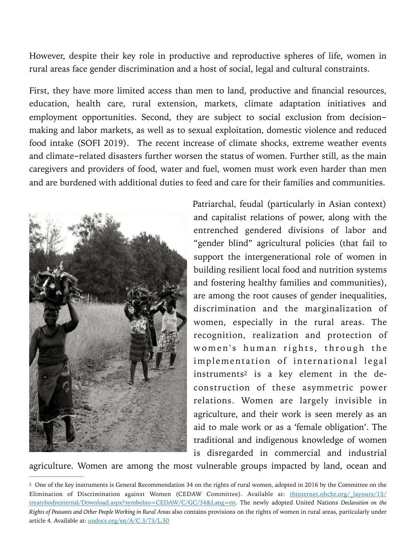However, despite their key role in productive and reproductive spheres of life, women in rural areas face gender discrimination and a host of social, legal and cultural constraints.

First, they have more limited access than men to land, productive and financial resources, education, health care, rural extension, markets, climate adaptation initiatives and employment opportunities. Second, they are subject to social exclusion from decisionmaking and labor markets, as well as to sexual exploitation, domestic violence and reduced food intake (SOFI 2019). The recent increase of climate shocks, extreme weather events and climate-related disasters further worsen the status of women. Further still, as the main caregivers and providers of food, water and fuel, women must work even harder than men and are burdened with additional duties to feed and care for their families and communities.



<span id="page-4-1"></span>Patriarchal, feudal (particularly in Asian context) and capitalist relations of power, along with the entrenched gendered divisions of labor and "gender blind" agricultural policies (that fail to support the intergenerational role of women in building resilient local food and nutrition systems and fostering healthy families and communities), are among the root causes of gender inequalities, discrimination and the marginalization of women, especially in the rural areas. The recognition, realization and protection of women's human rights, through the implementation of international legal in[s](#page-4-0)truments<sup>2</sup> is a key element in the deconstruction of these asymmetric power relations. Women are largely invisible in agriculture, and their work is seen merely as an aid to male work or as a 'female obligation'. The traditional and indigenous knowledge of women is disregarded in commercial and industrial

agriculture. Women are among the most vulnerable groups impacted by land, ocean and

<span id="page-4-0"></span>[<sup>2</sup>](#page-4-1) One of the key instruments is General Recommendation 34 on the rights of rural women, adopted in 2016 by the Committee on the Elimination of Discrimination against Women (CEDAW Committee). Available at: thinternet.ohchr.org/ layouts/15/ [treatybodyexternal/Download.aspx?symbolno=CEDAW/C/GC/34&Lang=en](http://tbinternet.ohchr.org/_layouts/15/treatybodyexternal/Download.aspx?symbolno=CEDAW/C/GC/34&Lang=en). The newly adopted United Nations *Declaration on the Rights of Peasants and Other People Working in Rural Areas* also contains provisions on the rights of women in rural areas, particularly under article 4. Available at: [undocs.org/en/A/C.3/73/L.30](http://undocs.org/en/A/C.3/73/L.30)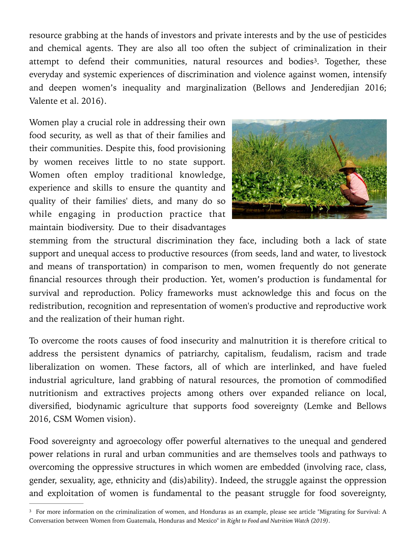resource grabbing at the hands of investors and private interests and by the use of pesticides and chemical agents. They are also all too often the subject of criminalization in their attempt to defend their communities, natural resources and bodies<sup>3</sup>[.](#page-5-0) Together, these everyday and systemic experiences of discrimination and violence against women, intensify and deepen women's inequality and marginalization (Bellows and Jenderedjian 2016; Valente et al. 2016).

Women play a crucial role in addressing their own food security, as well as that of their families and their communities. Despite this, food provisioning by women receives little to no state support. Women often employ traditional knowledge, experience and skills to ensure the quantity and quality of their families' diets, and many do so while engaging in production practice that maintain biodiversity. Due to their disadvantages

<span id="page-5-1"></span>

stemming from the structural discrimination they face, including both a lack of state support and unequal access to productive resources (from seeds, land and water, to livestock and means of transportation) in comparison to men, women frequently do not generate financial resources through their production. Yet, women's production is fundamental for survival and reproduction. Policy frameworks must acknowledge this and focus on the redistribution, recognition and representation of women's productive and reproductive work and the realization of their human right.

To overcome the roots causes of food insecurity and malnutrition it is therefore critical to address the persistent dynamics of patriarchy, capitalism, feudalism, racism and trade liberalization on women. These factors, all of which are interlinked, and have fueled industrial agriculture, land grabbing of natural resources, the promotion of commodified nutritionism and extractives projects among others over expanded reliance on local, diversified, biodynamic agriculture that supports food sovereignty (Lemke and Bellows 2016, CSM Women vision).

Food sovereignty and agroecology offer powerful alternatives to the unequal and gendered power relations in rural and urban communities and are themselves tools and pathways to overcoming the oppressive structures in which women are embedded (involving race, class, gender, sexuality, age, ethnicity and (dis)ability). Indeed, the struggle against the oppression and exploitation of women is fundamental to the peasant struggle for food sovereignty,

<span id="page-5-0"></span><sup>&</sup>lt;sup>[3](#page-5-1)</sup> For more information on the criminalization of women, and Honduras as an example, please see article "Migrating for Survival: A Conversation between Women from Guatemala, Honduras and Mexico" in *Right to Food and Nutrition Watch (2019)*.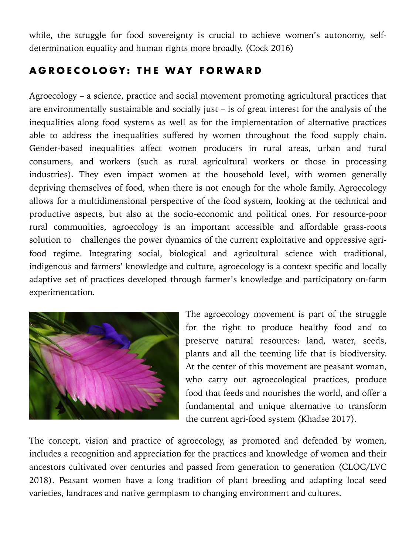while, the struggle for food sovereignty is crucial to achieve women's autonomy, selfdetermination equality and human rights more broadly. (Cock 2016)

#### **AGROECOLOGY: THE WAY FORWARD**

Agroecology – a science, practice and social movement promoting agricultural practices that are environmentally sustainable and socially just – is of great interest for the analysis of the inequalities along food systems as well as for the implementation of alternative practices able to address the inequalities suffered by women throughout the food supply chain. Gender-based inequalities affect women producers in rural areas, urban and rural consumers, and workers (such as rural agricultural workers or those in processing industries). They even impact women at the household level, with women generally depriving themselves of food, when there is not enough for the whole family. Agroecology allows for a multidimensional perspective of the food system, looking at the technical and productive aspects, but also at the socio-economic and political ones. For resource-poor rural communities, agroecology is an important accessible and affordable grass-roots solution to challenges the power dynamics of the current exploitative and oppressive agrifood regime. Integrating social, biological and agricultural science with traditional, indigenous and farmers' knowledge and culture, agroecology is a context specific and locally adaptive set of practices developed through farmer's knowledge and participatory on-farm experimentation.



The agroecology movement is part of the struggle for the right to produce healthy food and to preserve natural resources: land, water, seeds, plants and all the teeming life that is biodiversity. At the center of this movement are peasant woman, who carry out agroecological practices, produce food that feeds and nourishes the world, and offer a fundamental and unique alternative to transform the current agri-food system (Khadse 2017).

The concept, vision and practice of agroecology, as promoted and defended by women, includes a recognition and appreciation for the practices and knowledge of women and their ancestors cultivated over centuries and passed from generation to generation (CLOC/LVC 2018). Peasant women have a long tradition of plant breeding and adapting local seed varieties, landraces and native germplasm to changing environment and cultures.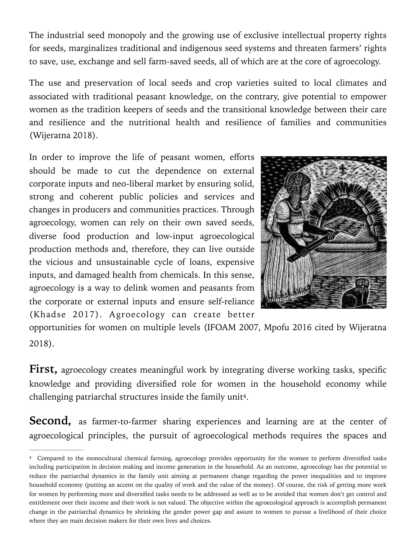The industrial seed monopoly and the growing use of exclusive intellectual property rights for seeds, marginalizes traditional and indigenous seed systems and threaten farmers' rights to save, use, exchange and sell farm-saved seeds, all of which are at the core of agroecology.

The use and preservation of local seeds and crop varieties suited to local climates and associated with traditional peasant knowledge, on the contrary, give potential to empower women as the tradition keepers of seeds and the transitional knowledge between their care and resilience and the nutritional health and resilience of families and communities (Wijeratna 2018).

In order to improve the life of peasant women, efforts should be made to cut the dependence on external corporate inputs and neo-liberal market by ensuring solid, strong and coherent public policies and services and changes in producers and communities practices. Through agroecology, women can rely on their own saved seeds, diverse food production and low-input agroecological production methods and, therefore, they can live outside the vicious and unsustainable cycle of loans, expensive inputs, and damaged health from chemicals. In this sense, agroecology is a way to delink women and peasants from the corporate or external inputs and ensure self-reliance (Khadse 2017). Agroecology can create better



opportunities for women on multiple levels (IFOAM 2007, Mpofu 2016 cited by Wijeratna 2018).

**First,** agroecology creates meaningful work by integrating diverse working tasks, specific knowledge and providing diversified role for women in the household economy while challenging patriarchal structures inside the family unit<sup>[4](#page-7-0)</sup>.

<span id="page-7-1"></span>**Second,** as farmer-to-farmer sharing experiences and learning are at the center of agroecological principles, the pursuit of agroecological methods requires the spaces and

<span id="page-7-0"></span><sup>&</sup>lt;sup>[4](#page-7-1)</sup> Compared to the monocultural chemical farming, agroecology provides opportunity for the women to perform diversified tasks including participation in decision making and income generation in the household. As an outcome, agroecology has the potential to reduce the patriarchal dynamics in the family unit aiming at permanent change regarding the power inequalities and to improve household economy (putting an accent on the quality of work and the value of the money). Of course, the risk of getting more work for women by performing more and diversified tasks needs to be addressed as well as to be avoided that women don't get control and entitlement over their income and their work is not valued. The objective within the agroecological approach is accomplish permanent change in the patriarchal dynamics by shrinking the gender power gap and assure to women to pursue a livelihood of their choice where they are main decision makers for their own lives and choices.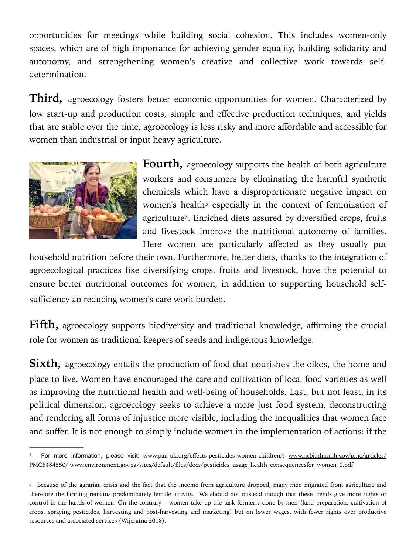opportunities for meetings while building social cohesion. This includes women-only spaces, which are of high importance for achieving gender equality, building solidarity and autonomy, and strengthening women's creative and collective work towards selfdetermination.

**Third,** agroecology fosters better economic opportunities for women. Characterized by low start-up and production costs, simple and effective production techniques, and yields that are stable over the time, agroecology is less risky and more affordable and accessible for women than industrial or input heavy agriculture.



<span id="page-8-3"></span><span id="page-8-2"></span>**Fourth,** agroecology supports the health of both agriculture workers and consumers by eliminating the harmful synthetic chemicals which have a disproportionate negative impact on women's health<sup>[5](#page-8-0)</sup> especially in the context of feminization of agriculture<sup>[6](#page-8-1)</sup>. Enriched diets assured by diversified crops, fruits and livestock improve the nutritional autonomy of families. Here women are particularly affected as they usually put

household nutrition before their own. Furthermore, better diets, thanks to the integration of agroecological practices like diversifying crops, fruits and livestock, have the potential to ensure better nutritional outcomes for women, in addition to supporting household selfsufficiency an reducing women's care work burden.

**Fifth,** agroecology supports biodiversity and traditional knowledge, affirming the crucial role for women as traditional keepers of seeds and indigenous knowledge.

**Sixth,** agroecology entails the production of food that nourishes the oikos, the home and place to live. Women have encouraged the care and cultivation of local food varieties as well as improving the nutritional health and well-being of households. Last, but not least, in its political dimension, agroecology seeks to achieve a more just food system, deconstructing and rendering all forms of injustice more visible, including the inequalities that women face and suffer. It is not enough to simply include women in the implementation of actions: if the

<span id="page-8-0"></span>For more information, please visit: www.pan-uk.org/effects-pesticides-women-children/; [www.ncbi.nlm.nih.gov/pmc/articles/](http://www.ncbi.nlm.nih.gov/pmc/articles/PMC5484550/) [PMC5484550/](http://www.ncbi.nlm.nih.gov/pmc/articles/PMC5484550/) [www.environment.gov.za/sites/default/files/docs/pesticides\\_usage\\_health\\_consequencesfor\\_women\\_0.pdf](http://www.environment.gov.za/sites/default/files/docs/pesticides_usage_health_consequencesfor_women_0.pdf)

<span id="page-8-1"></span>[<sup>6</sup>](#page-8-3) Because of the agrarian crisis and the fact that the income from agriculture dropped, many men migrated from agriculture and therefore the farming remains predominately female activity. We should not mislead though that these trends give more rights or control in the hands of women. On the contrary – women take up the task formerly done by men (land preparation, cultivation of crops, spraying pesticides, harvesting and post-harvesting and marketing) but on lower wages, with fewer rights over productive resources and associated services (Wijeratna 2018).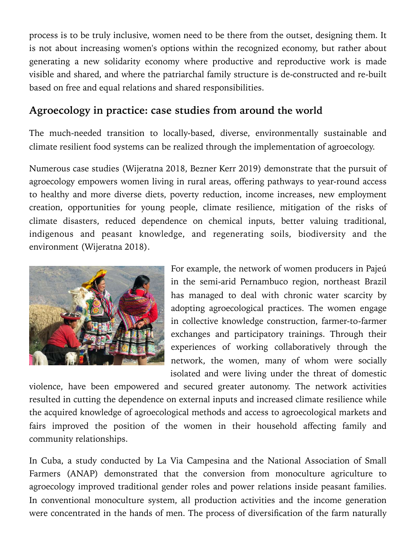process is to be truly inclusive, women need to be there from the outset, designing them. It is not about increasing women's options within the recognized economy, but rather about generating a new solidarity economy where productive and reproductive work is made visible and shared, and where the patriarchal family structure is de-constructed and re-built based on free and equal relations and shared responsibilities.

#### **Agroecology in practice: case studies from around the world**

The much-needed transition to locally-based, diverse, environmentally sustainable and climate resilient food systems can be realized through the implementation of agroecology.

Numerous case studies (Wijeratna 2018, Bezner Kerr 2019) demonstrate that the pursuit of agroecology empowers women living in rural areas, offering pathways to year-round access to healthy and more diverse diets, poverty reduction, income increases, new employment creation, opportunities for young people, climate resilience, mitigation of the risks of climate disasters, reduced dependence on chemical inputs, better valuing traditional, indigenous and peasant knowledge, and regenerating soils, biodiversity and the environment (Wijeratna 2018).



For example, the network of women producers in Pajeú in the semi-arid Pernambuco region, northeast Brazil has managed to deal with chronic water scarcity by adopting agroecological practices. The women engage in collective knowledge construction, farmer-to-farmer exchanges and participatory trainings. Through their experiences of working collaboratively through the network, the women, many of whom were socially isolated and were living under the threat of domestic

violence, have been empowered and secured greater autonomy. The network activities resulted in cutting the dependence on external inputs and increased climate resilience while the acquired knowledge of agroecological methods and access to agroecological markets and fairs improved the position of the women in their household affecting family and community relationships.

In Cuba, a study conducted by La Via Campesina and the National Association of Small Farmers (ANAP) demonstrated that the conversion from monoculture agriculture to agroecology improved traditional gender roles and power relations inside peasant families. In conventional monoculture system, all production activities and the income generation were concentrated in the hands of men. The process of diversification of the farm naturally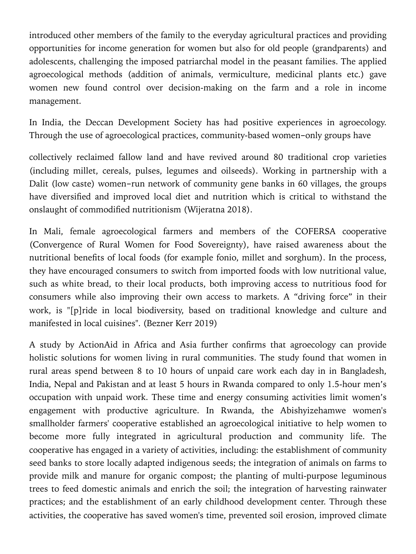introduced other members of the family to the everyday agricultural practices and providing opportunities for income generation for women but also for old people (grandparents) and adolescents, challenging the imposed patriarchal model in the peasant families. The applied agroecological methods (addition of animals, vermiculture, medicinal plants etc.) gave women new found control over decision-making on the farm and a role in income management.

In India, the Deccan Development Society has had positive experiences in agroecology. Through the use of agroecological practices, community-based women-only groups have

collectively reclaimed fallow land and have revived around 80 traditional crop varieties (including millet, cereals, pulses, legumes and oilseeds). Working in partnership with a Dalit (low caste) women-run network of community gene banks in 60 villages, the groups have diversified and improved local diet and nutrition which is critical to withstand the onslaught of commodified nutritionism (Wijeratna 2018).

In Mali, female agroecological farmers and members of the COFERSA cooperative (Convergence of Rural Women for Food Sovereignty), have raised awareness about the nutritional benefits of local foods (for example fonio, millet and sorghum). In the process, they have encouraged consumers to switch from imported foods with low nutritional value, such as white bread, to their local products, both improving access to nutritious food for consumers while also improving their own access to markets. A "driving force" in their work, is "[p]ride in local biodiversity, based on traditional knowledge and culture and manifested in local cuisines". (Bezner Kerr 2019)

A study by ActionAid in Africa and Asia further confirms that agroecology can provide holistic solutions for women living in rural communities. The study found that women in rural areas spend between 8 to 10 hours of unpaid care work each day in in Bangladesh, India, Nepal and Pakistan and at least 5 hours in Rwanda compared to only 1.5-hour men's occupation with unpaid work. These time and energy consuming activities limit women's engagement with productive agriculture. In Rwanda, the Abishyizehamwe women's smallholder farmers' cooperative established an agroecological initiative to help women to become more fully integrated in agricultural production and community life. The cooperative has engaged in a variety of activities, including: the establishment of community seed banks to store locally adapted indigenous seeds; the integration of animals on farms to provide milk and manure for organic compost; the planting of multi-purpose leguminous trees to feed domestic animals and enrich the soil; the integration of harvesting rainwater practices; and the establishment of an early childhood development center. Through these activities, the cooperative has saved women's time, prevented soil erosion, improved climate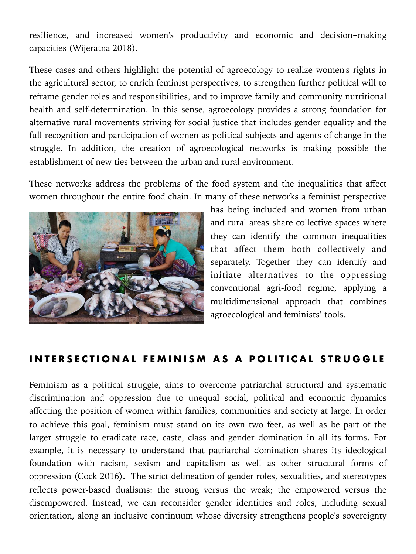resilience, and increased women's productivity and economic and decision-making capacities (Wijeratna 2018).

These cases and others highlight the potential of agroecology to realize women's rights in the agricultural sector, to enrich feminist perspectives, to strengthen further political will to reframe gender roles and responsibilities, and to improve family and community nutritional health and self-determination. In this sense, agroecology provides a strong foundation for alternative rural movements striving for social justice that includes gender equality and the full recognition and participation of women as political subjects and agents of change in the struggle. In addition, the creation of agroecological networks is making possible the establishment of new ties between the urban and rural environment.

These networks address the problems of the food system and the inequalities that affect women throughout the entire food chain. In many of these networks a feminist perspective



has being included and women from urban and rural areas share collective spaces where they can identify the common inequalities that affect them both collectively and separately. Together they can identify and initiate alternatives to the oppressing conventional agri-food regime, applying a multidimensional approach that combines agroecological and feminists' tools.

#### **INTERSECTIONAL FEMINISM AS A POLITICAL STRUGGLE**

Feminism as a political struggle, aims to overcome patriarchal structural and systematic discrimination and oppression due to unequal social, political and economic dynamics affecting the position of women within families, communities and society at large. In order to achieve this goal, feminism must stand on its own two feet, as well as be part of the larger struggle to eradicate race, caste, class and gender domination in all its forms. For example, it is necessary to understand that patriarchal domination shares its ideological foundation with racism, sexism and capitalism as well as other structural forms of oppression (Cock 2016). The strict delineation of gender roles, sexualities, and stereotypes reflects power-based dualisms: the strong versus the weak; the empowered versus the disempowered. Instead, we can reconsider gender identities and roles, including sexual orientation, along an inclusive continuum whose diversity strengthens people's sovereignty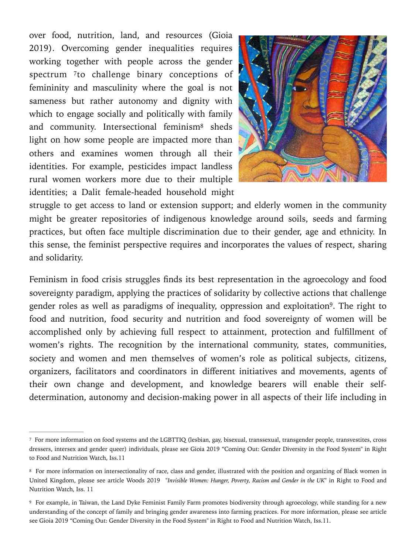<span id="page-12-3"></span>over food, nutrition, land, and resources (Gioia 2019). Overcoming gender inequalities requires working together with people across the gender spectrum [7](#page-12-0)to challenge binary conceptions of femininity and masculinity where the goal is not sameness but rather autonomy and dignity with which to engage socially and politically with family and co[m](#page-12-1)munity. Intersectional feminism<sup>[8](#page-12-1)</sup> sheds light on how some people are impacted more than others and examines women through all their identities. For example, pesticides impact landless rural women workers more due to their multiple identities; a Dalit female-headed household might

<span id="page-12-5"></span><span id="page-12-4"></span>

struggle to get access to land or extension support; and elderly women in the community might be greater repositories of indigenous knowledge around soils, seeds and farming practices, but often face multiple discrimination due to their gender, age and ethnicity. In this sense, the feminist perspective requires and incorporates the values of respect, sharing and solidarity.

Feminism in food crisis struggles finds its best representation in the agroecology and food sovereignty paradigm, applying the practices of solidarity by collective actions that challenge gender roles as well as paradigms of inequality, oppression and exploitation<sup>9</sup>[.](#page-12-2) The right to food and nutrition, food security and nutrition and food sovereignty of women will be accomplished only by achieving full respect to attainment, protection and fulfillment of women's rights. The recognition by the international community, states, communities, society and women and men themselves of women's role as political subjects, citizens, organizers, facilitators and coordinators in different initiatives and movements, agents of their own change and development, and knowledge bearers will enable their selfdetermination, autonomy and decision-making power in all aspects of their life including in

<span id="page-12-0"></span>[<sup>7</sup>](#page-12-3) For more information on food systems and the LGBTTIQ (lesbian, gay, bisexual, transsexual, transgender people, transvestites, cross dressers, intersex and gender queer) individuals, please see Gioia 2019 "Coming Out: Gender Diversity in the Food System" in Right to Food and Nutrition Watch, Iss.11

<span id="page-12-1"></span>[<sup>8</sup>](#page-12-4) For more information on intersectionality of race, class and gender, illustrated with the position and organizing of Black women in United Kingdom, please see article Woods 2019 "*Invisible Women: Hunger, Poverty, Racism and Gender in the UK*" in Right to Food and Nutrition Watch, Iss. 11

<span id="page-12-2"></span>[<sup>9</sup>](#page-12-5) For example, in Taiwan, the Land Dyke Feminist Family Farm promotes biodiversity through agroecology, while standing for a new understanding of the concept of family and bringing gender awareness into farming practices. For more information, please see article see Gioia 2019 "Coming Out: Gender Diversity in the Food System" in Right to Food and Nutrition Watch, Iss.11.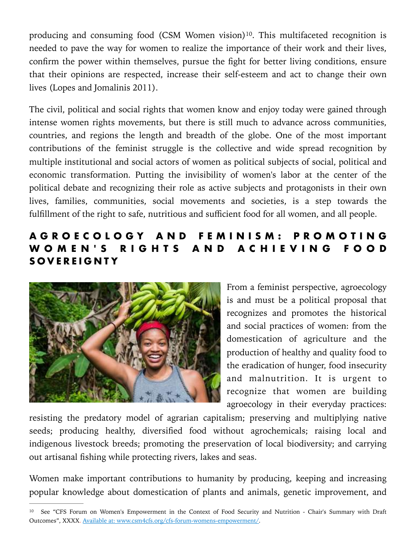<span id="page-13-1"></span>producing and consuming food (CSM Women vision)<sup>10</sup>[.](#page-13-0) This multifaceted recognition is needed to pave the way for women to realize the importance of their work and their lives, confirm the power within themselves, pursue the fight for better living conditions, ensure that their opinions are respected, increase their self-esteem and act to change their own lives (Lopes and Jomalinis 2011).

The civil, political and social rights that women know and enjoy today were gained through intense women rights movements, but there is still much to advance across communities, countries, and regions the length and breadth of the globe. One of the most important contributions of the feminist struggle is the collective and wide spread recognition by multiple institutional and social actors of women as political subjects of social, political and economic transformation. Putting the invisibility of women's labor at the center of the political debate and recognizing their role as active subjects and protagonists in their own lives, families, communities, social movements and societies, is a step towards the fulfillment of the right to safe, nutritious and sufficient food for all women, and all people.

#### **A G R O E C O L O G Y A N D F E M I N I S M : P R O M O T I N G W O M E N ' S R I G H T S A N D A C H I E V I N G F O O D SOVEREIGNTY**



From a feminist perspective, agroecology is and must be a political proposal that recognizes and promotes the historical and social practices of women: from the domestication of agriculture and the production of healthy and quality food to the eradication of hunger, food insecurity and malnutrition. It is urgent to recognize that women are building agroecology in their everyday practices:

resisting the predatory model of agrarian capitalism; preserving and multiplying native seeds; producing healthy, diversified food without agrochemicals; raising local and indigenous livestock breeds; promoting the preservation of local biodiversity; and carrying out artisanal fishing while protecting rivers, lakes and seas.

Women make important contributions to humanity by producing, keeping and increasing popular knowledge about domestication of plants and animals, genetic improvement, and

<span id="page-13-0"></span><sup>&</sup>lt;sup>[10](#page-13-1)</sup> See "CFS Forum on Women's Empowerment in the Context of Food Security and Nutrition - Chair's Summary with Draft Outcomes", XXXX. Available at: www.csm4cfs.org/cfs-forum-womens-empowerment/.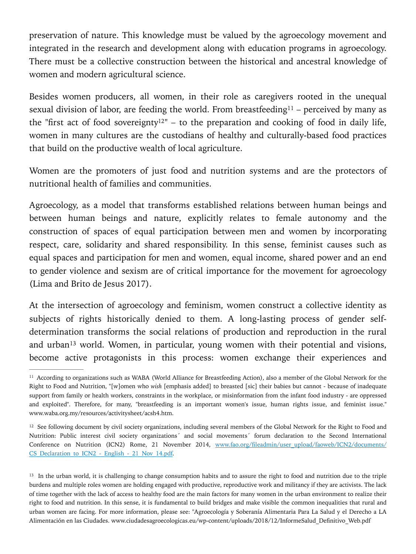preservation of nature. This knowledge must be valued by the agroecology movement and integrated in the research and development along with education programs in agroecology. There must be a collective construction between the historical and ancestral knowledge of women and modern agricultural science.

<span id="page-14-4"></span><span id="page-14-3"></span>Besides women producers, all women, in their role as caregivers rooted in the unequal sexualdivision of labor, are feeding the world. From breastfeeding<sup>[11](#page-14-0)</sup> – perceived by many as the "first act of food sovereignty<sup>[12](#page-14-1)"</sup> – to the preparation and cooking of food in daily life, women in many cultures are the custodians of healthy and culturally-based food practices that build on the productive wealth of local agriculture.

Women are the promoters of just food and nutrition systems and are the protectors of nutritional health of families and communities.

Agroecology, as a model that transforms established relations between human beings and between human beings and nature, explicitly relates to female autonomy and the construction of spaces of equal participation between men and women by incorporating respect, care, solidarity and shared responsibility. In this sense, feminist causes such as equal spaces and participation for men and women, equal income, shared power and an end to gender violence and sexism are of critical importance for the movement for agroecology (Lima and Brito de Jesus 2017).

At the intersection of agroecology and feminism, women construct a collective identity as subjects of rights historically denied to them. A long-lasting process of gender selfdetermination transforms the social relations of production and reproduction in the rural and urban<sup>[13](#page-14-2)</sup> world. Women, in particular, young women with their potential and visions, become active protagonists in this process: women exchange their experiences and

<span id="page-14-5"></span><span id="page-14-0"></span><sup>&</sup>lt;sup>[11](#page-14-3)</sup> According to organizations such as WABA (World Alliance for Breastfeeding Action), also a member of the Global Network for the Right to Food and Nutrition, "[w]omen who *wish* [emphasis added] to breasted [sic] their babies but cannot - because of inadequate support from family or health workers, constraints in the workplace, or misinformation from the infant food industry - are oppressed and exploited". Therefore, for many, "breastfeeding is an important women's issue, human rights issue, and feminist issue." www.waba.org.my/resources/activitysheet/acsh4.htm.

<span id="page-14-1"></span><sup>&</sup>lt;sup>[12](#page-14-4)</sup> See following document by civil society organizations, including several members of the Global Network for the Right to Food and Nutrition: Public interest civil society organizations´ and social movements´ forum declaration to the Second International Conference on Nutrition (ICN2) Rome, 21 November 2014, [www.fao.org/fileadmin/user\\_upload/faoweb/ICN2/documents/](http://www.fao.org/fileadmin/user_upload/faoweb/ICN2/documents/CS_Declaration_to_ICN2_-_English_-_21_Nov_14.pdf) CS Declaration to ICN2 - English - 21 Nov 14.pdf.

<span id="page-14-2"></span><sup>&</sup>lt;sup>[13](#page-14-5)</sup> In the urban world, it is challenging to change consumption habits and to assure the right to food and nutrition due to the triple burdens and multiple roles women are holding engaged with productive, reproductive work and militancy if they are activists. The lack of time together with the lack of access to healthy food are the main factors for many women in the urban environment to realize their right to food and nutrition. In this sense, it is fundamental to build bridges and make visible the common inequalities that rural and urban women are facing. For more information, please see: "Agroecología y Soberanía Alimentaria Para La Salud y el Derecho a LA Alimentación en las Ciudades. www.ciudadesagroecologicas.eu/wp-content/uploads/2018/12/InformeSalud\_Definitivo\_Web.pdf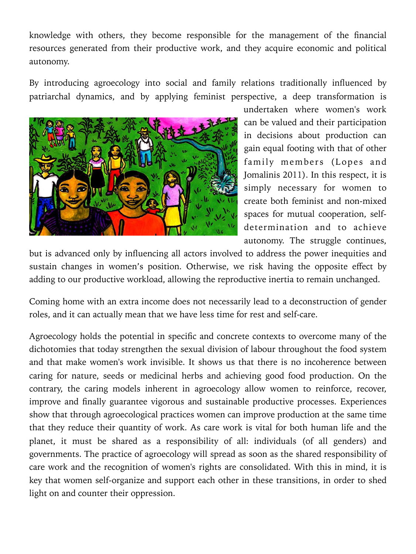knowledge with others, they become responsible for the management of the financial resources generated from their productive work, and they acquire economic and political autonomy.

By introducing agroecology into social and family relations traditionally influenced by patriarchal dynamics, and by applying feminist perspective, a deep transformation is



undertaken where women's work can be valued and their participation in decisions about production can gain equal footing with that of other family members (Lopes and Jomalinis 2011). In this respect, it is simply necessary for women to create both feminist and non-mixed spaces for mutual cooperation, selfdetermination and to achieve autonomy. The struggle continues,

but is advanced only by influencing all actors involved to address the power inequities and sustain changes in women's position. Otherwise, we risk having the opposite effect by adding to our productive workload, allowing the reproductive inertia to remain unchanged.

Coming home with an extra income does not necessarily lead to a deconstruction of gender roles, and it can actually mean that we have less time for rest and self-care.

Agroecology holds the potential in specific and concrete contexts to overcome many of the dichotomies that today strengthen the sexual division of labour throughout the food system and that make women's work invisible. It shows us that there is no incoherence between caring for nature, seeds or medicinal herbs and achieving good food production. On the contrary, the caring models inherent in agroecology allow women to reinforce, recover, improve and finally guarantee vigorous and sustainable productive processes. Experiences show that through agroecological practices women can improve production at the same time that they reduce their quantity of work. As care work is vital for both human life and the planet, it must be shared as a responsibility of all: individuals (of all genders) and governments. The practice of agroecology will spread as soon as the shared responsibility of care work and the recognition of women's rights are consolidated. With this in mind, it is key that women self-organize and support each other in these transitions, in order to shed light on and counter their oppression.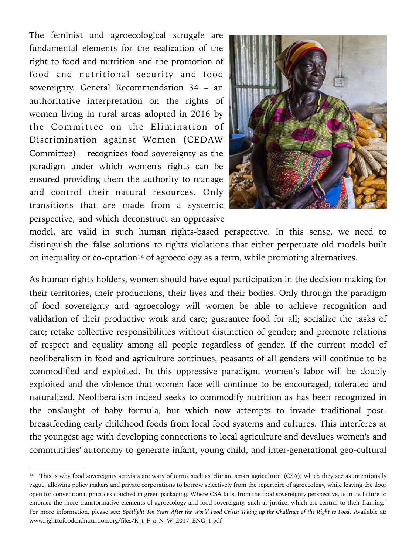The feminist and agroecological struggle are fundamental elements for the realization of the right to food and nutrition and the promotion of food and nutritional security and food sovereignty. General Recommendation 34 – an authoritative interpretation on the rights of women living in rural areas adopted in 2016 by the Committee on the Elimination of Discrimination against Women (CEDAW Committee) – recognizes food sovereignty as the paradigm under which women's rights can be ensured providing them the authority to manage and control their natural resources. Only transitions that are made from a systemic perspective, and which deconstruct an oppressive



model, are valid in such human rights-based perspective. In this sense, we need to distinguish the 'false solutions' to rights violations that either perpetuate old models built oninequality or co-optation<sup>[14](#page-16-0)</sup> of agroecology as a term, while promoting alternatives.

<span id="page-16-1"></span>As human rights holders, women should have equal participation in the decision-making for their territories, their productions, their lives and their bodies. Only through the paradigm of food sovereignty and agroecology will women be able to achieve recognition and validation of their productive work and care; guarantee food for all; socialize the tasks of care; retake collective responsibilities without distinction of gender; and promote relations of respect and equality among all people regardless of gender. If the current model of neoliberalism in food and agriculture continues, peasants of all genders will continue to be commodified and exploited. In this oppressive paradigm, women's labor will be doubly exploited and the violence that women face will continue to be encouraged, tolerated and naturalized. Neoliberalism indeed seeks to commodify nutrition as has been recognized in the onslaught of baby formula, but which now attempts to invade traditional postbreastfeeding early childhood foods from local food systems and cultures. This interferes at the youngest age with developing connections to local agriculture and devalues women's and communities' autonomy to generate infant, young child, and inter-generational geo-cultural

<span id="page-16-0"></span><sup>&</sup>lt;sup>[14](#page-16-1)</sup> "This is why food sovereignty activists are wary of terms such as 'climate smart agriculture' (CSA), which they see as intentionally vague, allowing policy makers and private corporations to borrow selectively from the repertoire of agroecology, while leaving the door open for conventional practices couched in green packaging. Where CSA fails, from the food sovereignty perspective, is in its failure to embrace the more transformative elements of agroecology and food sovereignty, such as justice, which are central to their framing." For more information, please see: *Spotlight Ten Years After the World Food Crisis: Taking up the Challenge of the Right to Food*. Available at: www.righttofoodandnutrition.org/files/R\_t\_F\_a\_N\_W\_2017\_ENG\_1.pdf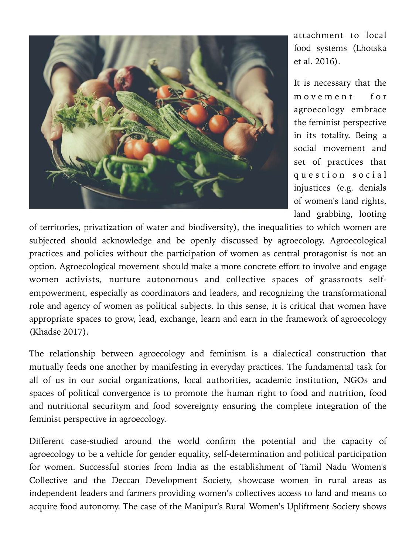

attachment to local food systems (Lhotska et al. 2016).

It is necessary that the m o v e m e n t f o r agroecology embrace the feminist perspective in its totality. Being a social movement and set of practices that q u e s t i o n s o c i a l injustices (e.g. denials of women's land rights, land grabbing, looting

of territories, privatization of water and biodiversity), the inequalities to which women are subjected should acknowledge and be openly discussed by agroecology. Agroecological practices and policies without the participation of women as central protagonist is not an option. Agroecological movement should make a more concrete effort to involve and engage women activists, nurture autonomous and collective spaces of grassroots selfempowerment, especially as coordinators and leaders, and recognizing the transformational role and agency of women as political subjects. In this sense, it is critical that women have appropriate spaces to grow, lead, exchange, learn and earn in the framework of agroecology (Khadse 2017).

The relationship between agroecology and feminism is a dialectical construction that mutually feeds one another by manifesting in everyday practices. The fundamental task for all of us in our social organizations, local authorities, academic institution, NGOs and spaces of political convergence is to promote the human right to food and nutrition, food and nutritional securitym and food sovereignty ensuring the complete integration of the feminist perspective in agroecology.

Different case-studied around the world confirm the potential and the capacity of agroecology to be a vehicle for gender equality, self-determination and political participation for women. Successful stories from India as the establishment of Tamil Nadu Women's Collective and the Deccan Development Society, showcase women in rural areas as independent leaders and farmers providing women's collectives access to land and means to acquire food autonomy. The case of the Manipur's Rural Women's Upliftment Society shows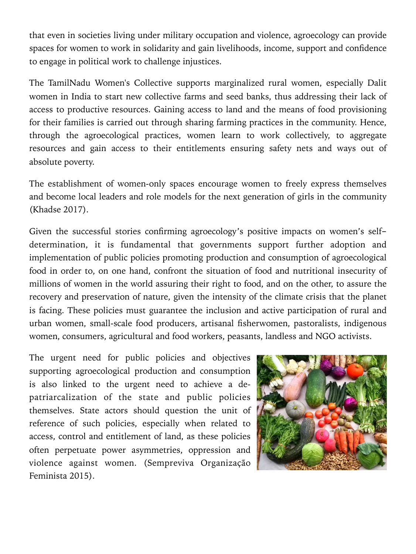that even in societies living under military occupation and violence, agroecology can provide spaces for women to work in solidarity and gain livelihoods, income, support and confidence to engage in political work to challenge injustices.

The TamilNadu Women's Collective supports marginalized rural women, especially Dalit women in India to start new collective farms and seed banks, thus addressing their lack of access to productive resources. Gaining access to land and the means of food provisioning for their families is carried out through sharing farming practices in the community. Hence, through the agroecological practices, women learn to work collectively, to aggregate resources and gain access to their entitlements ensuring safety nets and ways out of absolute poverty.

The establishment of women-only spaces encourage women to freely express themselves and become local leaders and role models for the next generation of girls in the community (Khadse 2017).

Given the successful stories confirming agroecology's positive impacts on women's selfdetermination, it is fundamental that governments support further adoption and implementation of public policies promoting production and consumption of agroecological food in order to, on one hand, confront the situation of food and nutritional insecurity of millions of women in the world assuring their right to food, and on the other, to assure the recovery and preservation of nature, given the intensity of the climate crisis that the planet is facing. These policies must guarantee the inclusion and active participation of rural and urban women, small-scale food producers, artisanal fisherwomen, pastoralists, indigenous women, consumers, agricultural and food workers, peasants, landless and NGO activists.

The urgent need for public policies and objectives supporting agroecological production and consumption is also linked to the urgent need to achieve a depatriarcalization of the state and public policies themselves. State actors should question the unit of reference of such policies, especially when related to access, control and entitlement of land, as these policies often perpetuate power asymmetries, oppression and violence against women. (Sempreviva Organização Feminista 2015).

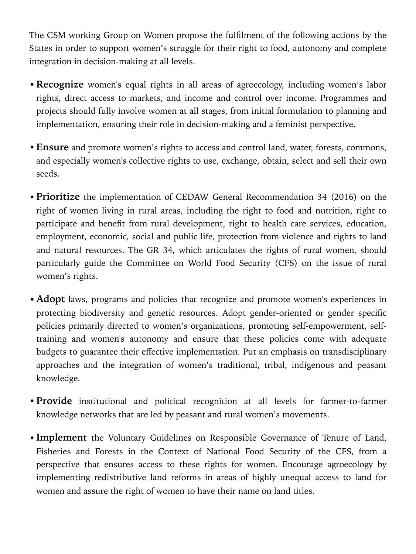The CSM working Group on Women propose the fulfilment of the following actions by the States in order to support women's struggle for their right to food, autonomy and complete integration in decision-making at all levels.

- •**Recognize** women's equal rights in all areas of agroecology, including women's labor rights, direct access to markets, and income and control over income. Programmes and projects should fully involve women at all stages, from initial formulation to planning and implementation, ensuring their role in decision-making and a feminist perspective.
- •**Ensure** and promote women's rights to access and control land, water, forests, commons, and especially women's collective rights to use, exchange, obtain, select and sell their own seeds.
- •**Prioritize** the implementation of CEDAW General Recommendation 34 (2016) on the right of women living in rural areas, including the right to food and nutrition, right to participate and benefit from rural development, right to health care services, education, employment, economic, social and public life, protection from violence and rights to land and natural resources. The GR 34, which articulates the rights of rural women, should particularly guide the Committee on World Food Security (CFS) on the issue of rural women's rights.
- **Adopt** laws, programs and policies that recognize and promote women's experiences in protecting biodiversity and genetic resources. Adopt gender-oriented or gender specific policies primarily directed to women's organizations, promoting self-empowerment, selftraining and women's autonomy and ensure that these policies come with adequate budgets to guarantee their effective implementation. Put an emphasis on transdisciplinary approaches and the integration of women's traditional, tribal, indigenous and peasant knowledge.
- •**Provide** institutional and political recognition at all levels for farmer-to-farmer knowledge networks that are led by peasant and rural women's movements.
- •**Implement** the Voluntary Guidelines on Responsible Governance of Tenure of Land, Fisheries and Forests in the Context of National Food Security of the CFS, from a perspective that ensures access to these rights for women. Encourage agroecology by implementing redistributive land reforms in areas of highly unequal access to land for women and assure the right of women to have their name on land titles.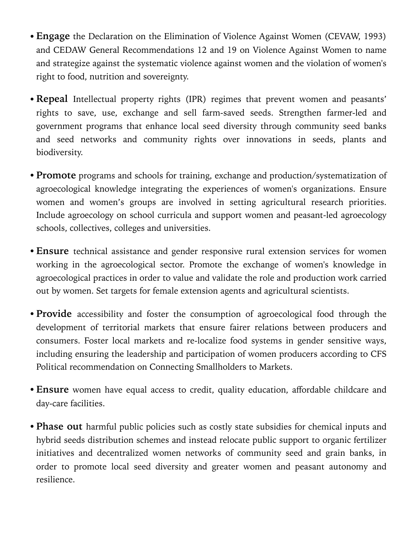- •**Engage** the Declaration on the Elimination of Violence Against Women (CEVAW, 1993) and CEDAW General Recommendations 12 and 19 on Violence Against Women to name and strategize against the systematic violence against women and the violation of women's right to food, nutrition and sovereignty.
- •**Repeal** Intellectual property rights (IPR) regimes that prevent women and peasants' rights to save, use, exchange and sell farm-saved seeds. Strengthen farmer-led and government programs that enhance local seed diversity through community seed banks and seed networks and community rights over innovations in seeds, plants and biodiversity.
- •**Promote** programs and schools for training, exchange and production/systematization of agroecological knowledge integrating the experiences of women's organizations. Ensure women and women's groups are involved in setting agricultural research priorities. Include agroecology on school curricula and support women and peasant-led agroecology schools, collectives, colleges and universities.
- •**Ensure** technical assistance and gender responsive rural extension services for women working in the agroecological sector. Promote the exchange of women's knowledge in agroecological practices in order to value and validate the role and production work carried out by women. Set targets for female extension agents and agricultural scientists.
- **Provide** accessibility and foster the consumption of agroecological food through the development of territorial markets that ensure fairer relations between producers and consumers. Foster local markets and re-localize food systems in gender sensitive ways, including ensuring the leadership and participation of women producers according to CFS Political recommendation on Connecting Smallholders to Markets.
- •**Ensure** women have equal access to credit, quality education, affordable childcare and day-care facilities.
- •**Phase out** harmful public policies such as costly state subsidies for chemical inputs and hybrid seeds distribution schemes and instead relocate public support to organic fertilizer initiatives and decentralized women networks of community seed and grain banks, in order to promote local seed diversity and greater women and peasant autonomy and resilience.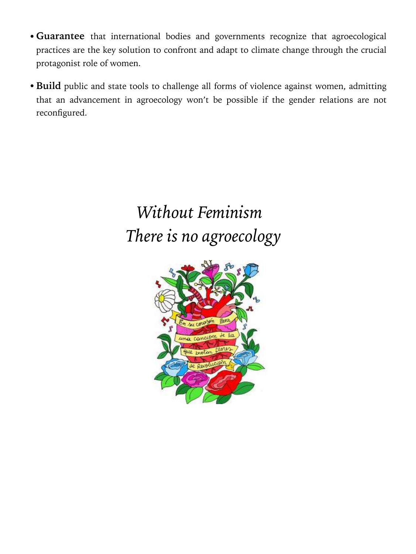- •**Guarantee** that international bodies and governments recognize that agroecological practices are the key solution to confront and adapt to climate change through the crucial protagonist role of women.
- •**Build** public and state tools to challenge all forms of violence against women, admitting that an advancement in agroecology won't be possible if the gender relations are not reconfigured.

# *Without Feminism There is no agroecology*

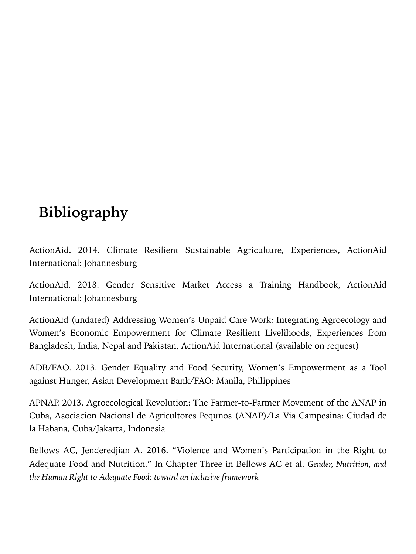### **Bibliography**

ActionAid. 2014. Climate Resilient Sustainable Agriculture, Experiences, ActionAid International: Johannesburg

ActionAid. 2018. Gender Sensitive Market Access a Training Handbook, ActionAid International: Johannesburg

ActionAid (undated) Addressing Women's Unpaid Care Work: Integrating Agroecology and Women's Economic Empowerment for Climate Resilient Livelihoods, Experiences from Bangladesh, India, Nepal and Pakistan, ActionAid International (available on request)

ADB/FAO. 2013. Gender Equality and Food Security, Women's Empowerment as a Tool against Hunger, Asian Development Bank/FAO: Manila, Philippines

APNAP. 2013. Agroecological Revolution: The Farmer-to-Farmer Movement of the ANAP in Cuba, Asociacion Nacional de Agricultores Pequnos (ANAP)/La Via Campesina: Ciudad de la Habana, Cuba/Jakarta, Indonesia

Bellows AC, Jenderedjian A. 2016. "Violence and Women's Participation in the Right to Adequate Food and Nutrition." In Chapter Three in Bellows AC et al. *Gender, Nutrition, and the Human Right to Adequate Food: toward an inclusive framework*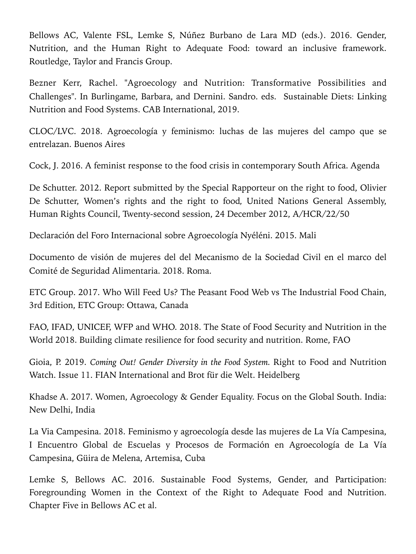Bellows AC, Valente FSL, Lemke S, Núñez Burbano de Lara MD (eds.). 2016. Gender, Nutrition, and the Human Right to Adequate Food: toward an inclusive framework. Routledge, Taylor and Francis Group.

Bezner Kerr, Rachel. "Agroecology and Nutrition: Transformative Possibilities and Challenges". In Burlingame, Barbara, and Dernini. Sandro. eds. Sustainable Diets: Linking Nutrition and Food Systems. CAB International, 2019.

CLOC/LVC. 2018. Agroecología y feminismo: luchas de las mujeres del campo que se entrelazan. Buenos Aires

Cock, J. 2016. A feminist response to the food crisis in contemporary South Africa. Agenda

De Schutter. 2012. Report submitted by the Special Rapporteur on the right to food, Olivier De Schutter, Women's rights and the right to food*,* United Nations General Assembly, Human Rights Council, Twenty-second session, 24 December 2012, A/HCR/22/50

Declaración del Foro Internacional sobre Agroecología Nyéléni. 2015. Mali

Documento de visión de mujeres del del Mecanismo de la Sociedad Civil en el marco del Comité de Seguridad Alimentaria. 2018. Roma.

ETC Group. 2017. Who Will Feed Us? The Peasant Food Web vs The Industrial Food Chain, 3rd Edition, ETC Group: Ottawa, Canada

FAO, IFAD, UNICEF, WFP and WHO. 2018. The State of Food Security and Nutrition in the World 2018. Building climate resilience for food security and nutrition. Rome, FAO

Gioia, P. 2019. *Coming Out! Gender Diversity in the Food System.* Right to Food and Nutrition Watch. Issue 11. FIAN International and Brot für die Welt. Heidelberg

Khadse A. 2017. Women, Agroecology & Gender Equality. Focus on the Global South. India: New Delhi, India

La Via Campesina. 2018. Feminismo y agroecología desde las mujeres de La Vía Campesina, I Encuentro Global de Escuelas y Procesos de Formación en Agroecología de La Vía Campesina, Güira de Melena, Artemisa, Cuba

Lemke S, Bellows AC. 2016. Sustainable Food Systems, Gender, and Participation: Foregrounding Women in the Context of the Right to Adequate Food and Nutrition. Chapter Five in Bellows AC et al.